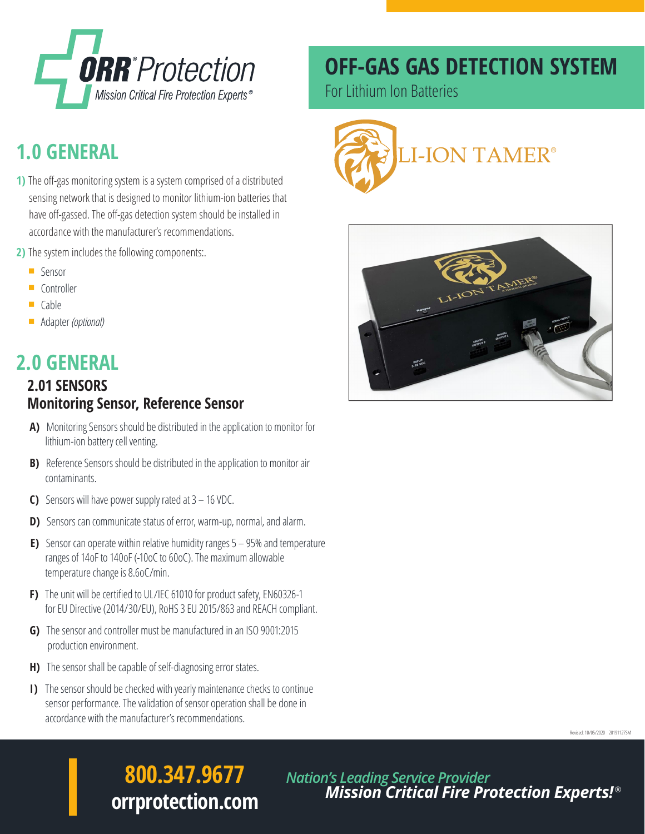

## **1.0 GENERAL**

- **1)** The off-gas monitoring system is a system comprised of a distributed sensing network that is designed to monitor lithium-ion batteries that have off-gassed. The off-gas detection system should be installed in accordance with the manufacturer's recommendations.
- **2)** The system includes the following components:.
	- **G** Sensor
	- **Controller**
	- $\Box$  Cable
	- Adapter *(optional)*

### **2.0 GENERAL**

#### **2.01 SENSORS Monitoring Sensor, Reference Sensor**

- **A)** Monitoring Sensors should be distributed in the application to monitor for lithium-ion battery cell venting.
- **B)** Reference Sensors should be distributed in the application to monitor air contaminants.
- **C)** Sensors will have power supply rated at 3 16 VDC.
- **D)** Sensors can communicate status of error, warm-up, normal, and alarm.
- **E)** Sensor can operate within relative humidity ranges 5 95% and temperature ranges of 14oF to 140oF (-10oC to 60oC). The maximum allowable temperature change is 8.6oC/min.
- **F)** The unit will be certified to UL/IEC 61010 for product safety, EN60326-1 for EU Directive (2014/30/EU), RoHS 3 EU 2015/863 and REACH compliant.
- **G)** The sensor and controller must be manufactured in an ISO 9001:2015 production environment.
- **H)** The sensor shall be capable of self-diagnosing error states.
- **I)** The sensor should be checked with yearly maintenance checks to continue sensor performance. The validation of sensor operation shall be done in accordance with the manufacturer's recommendations.

### **OFF-GAS GAS DETECTION SYSTEM**

For Lithium Ion Batteries





Revised: 10/05/2020 20191127SM

## **800.347.9677 orrprotection.com**

*Nation's Leading Service Provider Mission Critical Fire Protection Experts!* ®